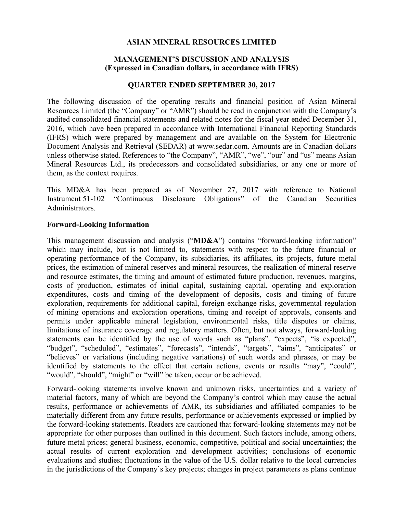### **ASIAN MINERAL RESOURCES LIMITED**

## **MANAGEMENT'S DISCUSSION AND ANALYSIS (Expressed in Canadian dollars, in accordance with IFRS)**

#### **QUARTER ENDED SEPTEMBER 30, 2017**

The following discussion of the operating results and financial position of Asian Mineral Resources Limited (the "Company" or "AMR") should be read in conjunction with the Company's audited consolidated financial statements and related notes for the fiscal year ended December 31, 2016, which have been prepared in accordance with International Financial Reporting Standards (IFRS) which were prepared by management and are available on the System for Electronic Document Analysis and Retrieval (SEDAR) at www.sedar.com. Amounts are in Canadian dollars unless otherwise stated. References to "the Company", "AMR", "we", "our" and "us" means Asian Mineral Resources Ltd., its predecessors and consolidated subsidiaries, or any one or more of them, as the context requires.

This MD&A has been prepared as of November 27, 2017 with reference to National Instrument 51-102 "Continuous Disclosure Obligations" of the Canadian Securities Administrators.

#### **Forward-Looking Information**

This management discussion and analysis ("**MD&A**") contains "forward-looking information" which may include, but is not limited to, statements with respect to the future financial or operating performance of the Company, its subsidiaries, its affiliates, its projects, future metal prices, the estimation of mineral reserves and mineral resources, the realization of mineral reserve and resource estimates, the timing and amount of estimated future production, revenues, margins, costs of production, estimates of initial capital, sustaining capital, operating and exploration expenditures, costs and timing of the development of deposits, costs and timing of future exploration, requirements for additional capital, foreign exchange risks, governmental regulation of mining operations and exploration operations, timing and receipt of approvals, consents and permits under applicable mineral legislation, environmental risks, title disputes or claims, limitations of insurance coverage and regulatory matters. Often, but not always, forward-looking statements can be identified by the use of words such as "plans", "expects", "is expected", "budget", "scheduled", "estimates", "forecasts", "intends", "targets", "aims", "anticipates" or "believes" or variations (including negative variations) of such words and phrases, or may be identified by statements to the effect that certain actions, events or results "may", "could", "would", "should", "might" or "will" be taken, occur or be achieved.

Forward-looking statements involve known and unknown risks, uncertainties and a variety of material factors, many of which are beyond the Company's control which may cause the actual results, performance or achievements of AMR, its subsidiaries and affiliated companies to be materially different from any future results, performance or achievements expressed or implied by the forward-looking statements. Readers are cautioned that forward-looking statements may not be appropriate for other purposes than outlined in this document. Such factors include, among others, future metal prices; general business, economic, competitive, political and social uncertainties; the actual results of current exploration and development activities; conclusions of economic evaluations and studies; fluctuations in the value of the U.S. dollar relative to the local currencies in the jurisdictions of the Company's key projects; changes in project parameters as plans continue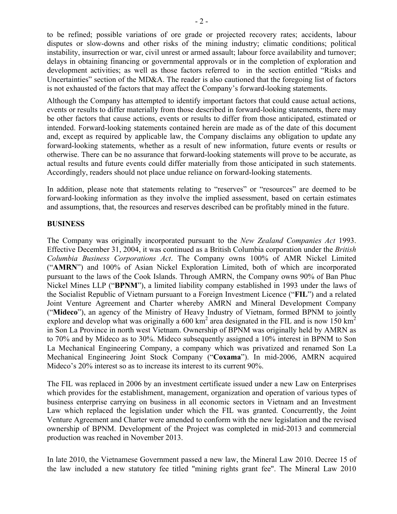to be refined; possible variations of ore grade or projected recovery rates; accidents, labour disputes or slow-downs and other risks of the mining industry; climatic conditions; political instability, insurrection or war, civil unrest or armed assault; labour force availability and turnover; delays in obtaining financing or governmental approvals or in the completion of exploration and development activities; as well as those factors referred to in the section entitled "Risks and Uncertainties" section of the MD&A. The reader is also cautioned that the foregoing list of factors is not exhausted of the factors that may affect the Company's forward-looking statements.

Although the Company has attempted to identify important factors that could cause actual actions, events or results to differ materially from those described in forward-looking statements, there may be other factors that cause actions, events or results to differ from those anticipated, estimated or intended. Forward-looking statements contained herein are made as of the date of this document and, except as required by applicable law, the Company disclaims any obligation to update any forward-looking statements, whether as a result of new information, future events or results or otherwise. There can be no assurance that forward-looking statements will prove to be accurate, as actual results and future events could differ materially from those anticipated in such statements. Accordingly, readers should not place undue reliance on forward-looking statements.

In addition, please note that statements relating to "reserves" or "resources" are deemed to be forward-looking information as they involve the implied assessment, based on certain estimates and assumptions, that, the resources and reserves described can be profitably mined in the future.

## **BUSINESS**

The Company was originally incorporated pursuant to the *New Zealand Companies Act* 1993. Effective December 31, 2004, it was continued as a British Columbia corporation under the *British Columbia Business Corporations Act*. The Company owns 100% of AMR Nickel Limited ("**AMRN**") and 100% of Asian Nickel Exploration Limited, both of which are incorporated pursuant to the laws of the Cook Islands. Through AMRN, the Company owns 90% of Ban Phuc Nickel Mines LLP ("**BPNM**"), a limited liability company established in 1993 under the laws of the Socialist Republic of Vietnam pursuant to a Foreign Investment Licence ("**FIL**") and a related Joint Venture Agreement and Charter whereby AMRN and Mineral Development Company ("**Mideco**"), an agency of the Ministry of Heavy Industry of Vietnam, formed BPNM to jointly explore and develop what was originally a 600 km<sup>2</sup> area designated in the FIL and is now 150 km<sup>2</sup> in Son La Province in north west Vietnam. Ownership of BPNM was originally held by AMRN as to 70% and by Mideco as to 30%. Mideco subsequently assigned a 10% interest in BPNM to Son La Mechanical Engineering Company, a company which was privatized and renamed Son La Mechanical Engineering Joint Stock Company ("**Coxama**"). In mid-2006, AMRN acquired Mideco's 20% interest so as to increase its interest to its current 90%.

The FIL was replaced in 2006 by an investment certificate issued under a new Law on Enterprises which provides for the establishment, management, organization and operation of various types of business enterprise carrying on business in all economic sectors in Vietnam and an Investment Law which replaced the legislation under which the FIL was granted. Concurrently, the Joint Venture Agreement and Charter were amended to conform with the new legislation and the revised ownership of BPNM. Development of the Project was completed in mid-2013 and commercial production was reached in November 2013.

In late 2010, the Vietnamese Government passed a new law, the Mineral Law 2010. Decree 15 of the law included a new statutory fee titled "mining rights grant fee". The Mineral Law 2010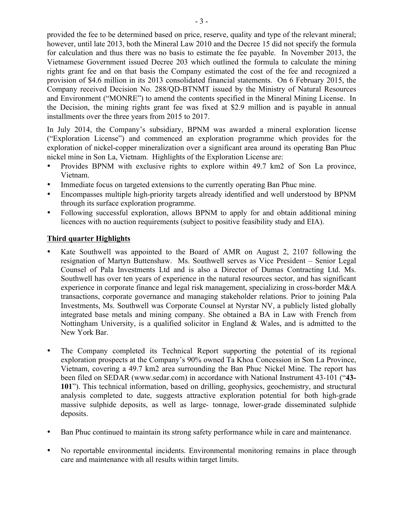provided the fee to be determined based on price, reserve, quality and type of the relevant mineral; however, until late 2013, both the Mineral Law 2010 and the Decree 15 did not specify the formula for calculation and thus there was no basis to estimate the fee payable. In November 2013, the Vietnamese Government issued Decree 203 which outlined the formula to calculate the mining rights grant fee and on that basis the Company estimated the cost of the fee and recognized a provision of \$4.6 million in its 2013 consolidated financial statements. On 6 February 2015, the Company received Decision No. 288/QD-BTNMT issued by the Ministry of Natural Resources and Environment ("MONRE") to amend the contents specified in the Mineral Mining License. In the Decision, the mining rights grant fee was fixed at \$2.9 million and is payable in annual installments over the three years from 2015 to 2017.

In July 2014, the Company's subsidiary, BPNM was awarded a mineral exploration license ("Exploration License") and commenced an exploration programme which provides for the exploration of nickel-copper mineralization over a significant area around its operating Ban Phuc nickel mine in Son La, Vietnam. Highlights of the Exploration License are:

- Provides BPNM with exclusive rights to explore within 49.7 km2 of Son La province, Vietnam.
- Immediate focus on targeted extensions to the currently operating Ban Phuc mine.
- Encompasses multiple high-priority targets already identified and well understood by BPNM through its surface exploration programme.
- Following successful exploration, allows BPNM to apply for and obtain additional mining licences with no auction requirements (subject to positive feasibility study and EIA).

## **Third quarter Highlights**

- Kate Southwell was appointed to the Board of AMR on August 2, 2107 following the resignation of Martyn Buttenshaw. Ms. Southwell serves as Vice President – Senior Legal Counsel of Pala Investments Ltd and is also a Director of Dumas Contracting Ltd. Ms. Southwell has over ten years of experience in the natural resources sector, and has significant experience in corporate finance and legal risk management, specializing in cross-border M&A transactions, corporate governance and managing stakeholder relations. Prior to joining Pala Investments, Ms. Southwell was Corporate Counsel at Nyrstar NV, a publicly listed globally integrated base metals and mining company. She obtained a BA in Law with French from Nottingham University, is a qualified solicitor in England & Wales, and is admitted to the New York Bar.
- The Company completed its Technical Report supporting the potential of its regional exploration prospects at the Company's 90% owned Ta Khoa Concession in Son La Province, Vietnam, covering a 49.7 km2 area surrounding the Ban Phuc Nickel Mine. The report has been filed on SEDAR (www.sedar.com) in accordance with National Instrument 43-101 ("**43- 101**"). This technical information, based on drilling, geophysics, geochemistry, and structural analysis completed to date, suggests attractive exploration potential for both high-grade massive sulphide deposits, as well as large- tonnage, lower-grade disseminated sulphide deposits.
- Ban Phuc continued to maintain its strong safety performance while in care and maintenance.
- No reportable environmental incidents. Environmental monitoring remains in place through care and maintenance with all results within target limits.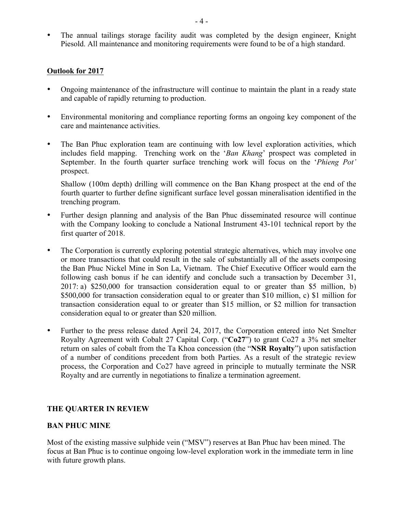• The annual tailings storage facility audit was completed by the design engineer, Knight Piesold. All maintenance and monitoring requirements were found to be of a high standard.

#### **Outlook for 2017**

- Ongoing maintenance of the infrastructure will continue to maintain the plant in a ready state and capable of rapidly returning to production.
- Environmental monitoring and compliance reporting forms an ongoing key component of the care and maintenance activities.
- The Ban Phuc exploration team are continuing with low level exploration activities, which includes field mapping. Trenching work on the '*Ban Khang*' prospect was completed in September. In the fourth quarter surface trenching work will focus on the '*Phieng Pot'*  prospect.

Shallow (100m depth) drilling will commence on the Ban Khang prospect at the end of the fourth quarter to further define significant surface level gossan mineralisation identified in the trenching program.

- Further design planning and analysis of the Ban Phuc disseminated resource will continue with the Company looking to conclude a National Instrument 43-101 technical report by the first quarter of 2018.
- The Corporation is currently exploring potential strategic alternatives, which may involve one or more transactions that could result in the sale of substantially all of the assets composing the Ban Phuc Nickel Mine in Son La, Vietnam. The Chief Executive Officer would earn the following cash bonus if he can identify and conclude such a transaction by December 31, 2017: a) \$250,000 for transaction consideration equal to or greater than \$5 million, b) \$500,000 for transaction consideration equal to or greater than \$10 million, c) \$1 million for transaction consideration equal to or greater than \$15 million, or \$2 million for transaction consideration equal to or greater than \$20 million.
- Further to the press release dated April 24, 2017, the Corporation entered into Net Smelter Royalty Agreement with Cobalt 27 Capital Corp. ("**Co27**") to grant Co27 a 3% net smelter return on sales of cobalt from the Ta Khoa concession (the "**NSR Royalty**") upon satisfaction of a number of conditions precedent from both Parties. As a result of the strategic review process, the Corporation and Co27 have agreed in principle to mutually terminate the NSR Royalty and are currently in negotiations to finalize a termination agreement.

## **THE QUARTER IN REVIEW**

## **BAN PHUC MINE**

Most of the existing massive sulphide vein ("MSV") reserves at Ban Phuc hav been mined. The focus at Ban Phuc is to continue ongoing low-level exploration work in the immediate term in line with future growth plans.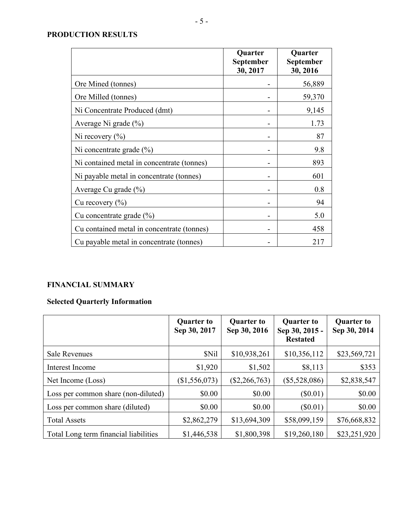## **PRODUCTION RESULTS**

|                                            | Quarter<br>September<br>30, 2017 | Quarter<br>September<br>30, 2016 |
|--------------------------------------------|----------------------------------|----------------------------------|
| Ore Mined (tonnes)                         |                                  | 56,889                           |
| Ore Milled (tonnes)                        |                                  | 59,370                           |
| Ni Concentrate Produced (dmt)              |                                  | 9,145                            |
| Average Ni grade (%)                       |                                  | 1.73                             |
| Ni recovery $(\% )$                        |                                  | 87                               |
| Ni concentrate grade $(\% )$               |                                  | 9.8                              |
| Ni contained metal in concentrate (tonnes) |                                  | 893                              |
| Ni payable metal in concentrate (tonnes)   |                                  | 601                              |
| Average Cu grade (%)                       |                                  | 0.8                              |
| Cu recovery $(\% )$                        |                                  | 94                               |
| Cu concentrate grade $(\% )$               |                                  | 5.0                              |
| Cu contained metal in concentrate (tonnes) |                                  | 458                              |
| Cu payable metal in concentrate (tonnes)   |                                  | 217                              |

# **FINANCIAL SUMMARY**

# **Selected Quarterly Information**

|                                       | <b>Quarter to</b><br>Sep 30, 2017 | <b>Quarter to</b><br>Sep 30, 2016 | <b>Quarter to</b><br>Sep 30, 2015 -<br><b>Restated</b> | <b>Quarter to</b><br>Sep 30, 2014 |
|---------------------------------------|-----------------------------------|-----------------------------------|--------------------------------------------------------|-----------------------------------|
| <b>Sale Revenues</b>                  | \$Nil                             | \$10,938,261                      | \$10,356,112                                           | \$23,569,721                      |
| Interest Income                       | \$1,920                           | \$1,502                           | \$8,113                                                | \$353                             |
| Net Income (Loss)                     | (\$1,556,073)                     | $(\$2,266,763)$                   | $(\$5,528,086)$                                        | \$2,838,547                       |
| Loss per common share (non-diluted)   | \$0.00                            | \$0.00                            | $(\$0.01)$                                             | \$0.00                            |
| Loss per common share (diluted)       | \$0.00                            | \$0.00                            | $(\$0.01)$                                             | \$0.00                            |
| <b>Total Assets</b>                   | \$2,862,279                       | \$13,694,309                      | \$58,099,159                                           | \$76,668,832                      |
| Total Long term financial liabilities | \$1,446,538                       | \$1,800,398                       | \$19,260,180                                           | \$23,251,920                      |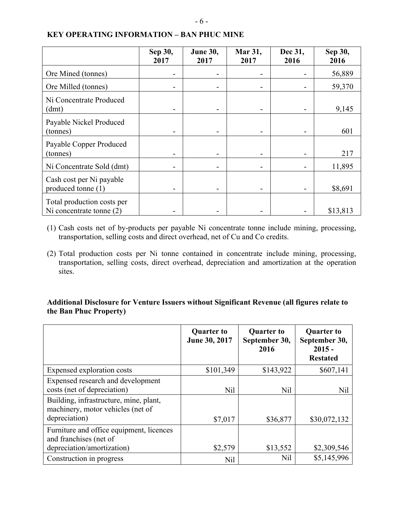|  | v<br>I<br>×<br>۰. |
|--|-------------------|
|--|-------------------|

|                                                          | Sep 30,<br>2017 | June 30,<br>2017 | Mar 31,<br>2017 | Dec 31,<br>2016 | Sep 30,<br>2016 |
|----------------------------------------------------------|-----------------|------------------|-----------------|-----------------|-----------------|
| Ore Mined (tonnes)                                       |                 |                  |                 |                 | 56,889          |
| Ore Milled (tonnes)                                      |                 |                  |                 |                 | 59,370          |
| Ni Concentrate Produced<br>(dmt)                         |                 |                  |                 |                 | 9,145           |
| Payable Nickel Produced<br>(tonnes)                      |                 |                  |                 |                 | 601             |
| Payable Copper Produced<br>(tonnes)                      |                 |                  |                 |                 | 217             |
| Ni Concentrate Sold (dmt)                                |                 |                  |                 |                 | 11,895          |
| Cash cost per Ni payable<br>produced tonne (1)           |                 |                  |                 |                 | \$8,691         |
| Total production costs per<br>Ni concentrate tonne $(2)$ |                 |                  |                 |                 | \$13,813        |

## **KEY OPERATING INFORMATION – BAN PHUC MINE**

- (1) Cash costs net of by-products per payable Ni concentrate tonne include mining, processing, transportation, selling costs and direct overhead, net of Cu and Co credits.
- (2) Total production costs per Ni tonne contained in concentrate include mining, processing, transportation, selling costs, direct overhead, depreciation and amortization at the operation sites.

## **Additional Disclosure for Venture Issuers without Significant Revenue (all figures relate to the Ban Phuc Property)**

|                                                                                                                                                                  | <b>Quarter to</b><br>June 30, 2017 | <b>Quarter to</b><br>September 30,<br>2016 | <b>Quarter to</b><br>September 30,<br>$2015 -$<br><b>Restated</b> |
|------------------------------------------------------------------------------------------------------------------------------------------------------------------|------------------------------------|--------------------------------------------|-------------------------------------------------------------------|
| Expensed exploration costs                                                                                                                                       | \$101,349                          | \$143,922                                  | \$607,141                                                         |
| Expensed research and development<br>costs (net of depreciation)<br>Building, infrastructure, mine, plant,<br>machinery, motor vehicles (net of<br>depreciation) | <b>Nil</b><br>\$7,017              | Nil<br>\$36,877                            | Nil<br>\$30,072,132                                               |
| Furniture and office equipment, licences<br>and franchises (net of<br>depreciation/amortization)                                                                 | \$2,579                            | \$13,552                                   | \$2,309,546                                                       |
| Construction in progress                                                                                                                                         | Nil                                | Nil                                        | \$5,145,996                                                       |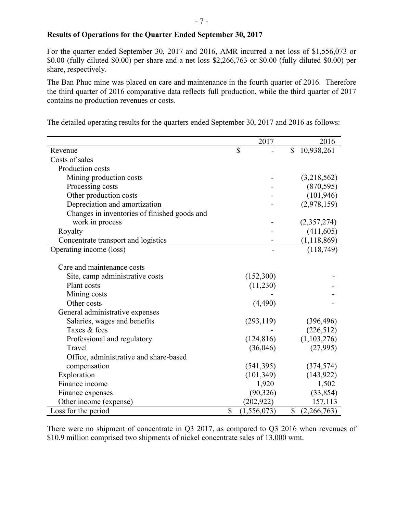### **Results of Operations for the Quarter Ended September 30, 2017**

For the quarter ended September 30, 2017 and 2016, AMR incurred a net loss of \$1,556,073 or \$0.00 (fully diluted \$0.00) per share and a net loss \$2,266,763 or \$0.00 (fully diluted \$0.00) per share, respectively.

The Ban Phuc mine was placed on care and maintenance in the fourth quarter of 2016. Therefore the third quarter of 2016 comparative data reflects full production, while the third quarter of 2017 contains no production revenues or costs.

|                                              | 2017                |              | 2016          |
|----------------------------------------------|---------------------|--------------|---------------|
| Revenue                                      | \$                  | \$           | 10,938,261    |
| Costs of sales                               |                     |              |               |
| Production costs                             |                     |              |               |
| Mining production costs                      |                     |              | (3,218,562)   |
| Processing costs                             |                     |              | (870, 595)    |
| Other production costs                       |                     |              | (101, 946)    |
| Depreciation and amortization                |                     |              | (2,978,159)   |
| Changes in inventories of finished goods and |                     |              |               |
| work in process                              |                     |              | (2,357,274)   |
| Royalty                                      |                     |              | (411, 605)    |
| Concentrate transport and logistics          |                     |              | (1, 118, 869) |
| Operating income (loss)                      |                     |              | (118, 749)    |
|                                              |                     |              |               |
| Care and maintenance costs                   |                     |              |               |
| Site, camp administrative costs              | (152,300)           |              |               |
| Plant costs                                  | (11,230)            |              |               |
| Mining costs                                 |                     |              |               |
| Other costs                                  | (4,490)             |              |               |
| General administrative expenses              |                     |              |               |
| Salaries, wages and benefits                 | (293, 119)          |              | (396, 496)    |
| Taxes & fees                                 |                     |              | (226, 512)    |
| Professional and regulatory                  | (124, 816)          |              | (1,103,276)   |
| Travel                                       | (36,046)            |              | (27,995)      |
| Office, administrative and share-based       |                     |              |               |
| compensation                                 | (541, 395)          |              | (374, 574)    |
| Exploration                                  | (101, 349)          |              | (143, 922)    |
| Finance income                               | 1,920               |              | 1,502         |
| Finance expenses                             | (90, 326)           |              | (33, 854)     |
| Other income (expense)                       | (202, 922)          |              | 157,113       |
| Loss for the period                          | \$<br>(1, 556, 073) | $\mathbb{S}$ | (2,266,763)   |

The detailed operating results for the quarters ended September 30, 2017 and 2016 as follows:

There were no shipment of concentrate in Q3 2017, as compared to Q3 2016 when revenues of \$10.9 million comprised two shipments of nickel concentrate sales of 13,000 wmt.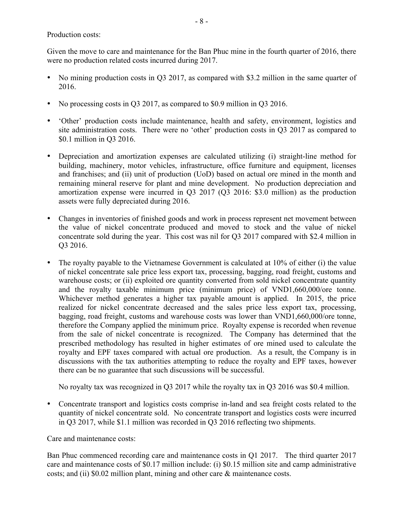Production costs:

Given the move to care and maintenance for the Ban Phuc mine in the fourth quarter of 2016, there were no production related costs incurred during 2017.

- No mining production costs in Q3 2017, as compared with \$3.2 million in the same quarter of 2016.
- No processing costs in Q3 2017, as compared to \$0.9 million in Q3 2016.
- 'Other' production costs include maintenance, health and safety, environment, logistics and site administration costs. There were no 'other' production costs in Q3 2017 as compared to \$0.1 million in Q3 2016.
- Depreciation and amortization expenses are calculated utilizing (i) straight-line method for building, machinery, motor vehicles, infrastructure, office furniture and equipment, licenses and franchises; and (ii) unit of production (UoD) based on actual ore mined in the month and remaining mineral reserve for plant and mine development. No production depreciation and amortization expense were incurred in Q3 2017 (Q3 2016: \$3.0 million) as the production assets were fully depreciated during 2016.
- Changes in inventories of finished goods and work in process represent net movement between the value of nickel concentrate produced and moved to stock and the value of nickel concentrate sold during the year. This cost was nil for Q3 2017 compared with \$2.4 million in Q3 2016.
- The royalty payable to the Vietnamese Government is calculated at 10% of either (i) the value of nickel concentrate sale price less export tax, processing, bagging, road freight, customs and warehouse costs; or (ii) exploited ore quantity converted from sold nickel concentrate quantity and the royalty taxable minimum price (minimum price) of VND1,660,000/ore tonne. Whichever method generates a higher tax payable amount is applied. In 2015, the price realized for nickel concentrate decreased and the sales price less export tax, processing, bagging, road freight, customs and warehouse costs was lower than VND1,660,000/ore tonne, therefore the Company applied the minimum price. Royalty expense is recorded when revenue from the sale of nickel concentrate is recognized. The Company has determined that the prescribed methodology has resulted in higher estimates of ore mined used to calculate the royalty and EPF taxes compared with actual ore production. As a result, the Company is in discussions with the tax authorities attempting to reduce the royalty and EPF taxes, however there can be no guarantee that such discussions will be successful.

No royalty tax was recognized in Q3 2017 while the royalty tax in Q3 2016 was \$0.4 million.

• Concentrate transport and logistics costs comprise in-land and sea freight costs related to the quantity of nickel concentrate sold. No concentrate transport and logistics costs were incurred in Q3 2017, while \$1.1 million was recorded in Q3 2016 reflecting two shipments.

Care and maintenance costs:

Ban Phuc commenced recording care and maintenance costs in Q1 2017. The third quarter 2017 care and maintenance costs of \$0.17 million include: (i) \$0.15 million site and camp administrative costs; and (ii) \$0.02 million plant, mining and other care & maintenance costs.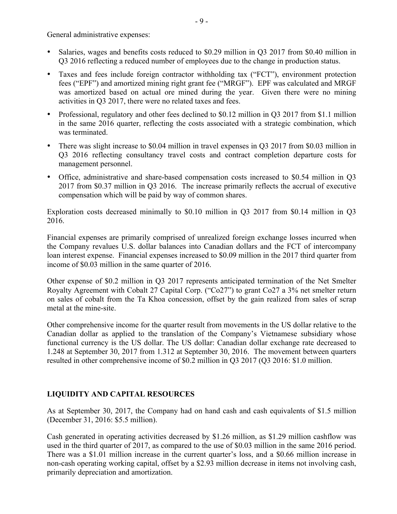General administrative expenses:

- Salaries, wages and benefits costs reduced to \$0.29 million in Q3 2017 from \$0.40 million in Q3 2016 reflecting a reduced number of employees due to the change in production status.
- Taxes and fees include foreign contractor withholding tax ("FCT"), environment protection fees ("EPF") and amortized mining right grant fee ("MRGF"). EPF was calculated and MRGF was amortized based on actual ore mined during the year. Given there were no mining activities in Q3 2017, there were no related taxes and fees.
- Professional, regulatory and other fees declined to \$0.12 million in Q3 2017 from \$1.1 million in the same 2016 quarter, reflecting the costs associated with a strategic combination, which was terminated.
- There was slight increase to \$0.04 million in travel expenses in Q3 2017 from \$0.03 million in Q3 2016 reflecting consultancy travel costs and contract completion departure costs for management personnel.
- Office, administrative and share-based compensation costs increased to \$0.54 million in Q3 2017 from \$0.37 million in Q3 2016. The increase primarily reflects the accrual of executive compensation which will be paid by way of common shares.

Exploration costs decreased minimally to \$0.10 million in Q3 2017 from \$0.14 million in Q3 2016.

Financial expenses are primarily comprised of unrealized foreign exchange losses incurred when the Company revalues U.S. dollar balances into Canadian dollars and the FCT of intercompany loan interest expense. Financial expenses increased to \$0.09 million in the 2017 third quarter from income of \$0.03 million in the same quarter of 2016.

Other expense of \$0.2 million in Q3 2017 represents anticipated termination of the Net Smelter Royalty Agreement with Cobalt 27 Capital Corp. ("Co27") to grant Co27 a 3% net smelter return on sales of cobalt from the Ta Khoa concession, offset by the gain realized from sales of scrap metal at the mine-site.

Other comprehensive income for the quarter result from movements in the US dollar relative to the Canadian dollar as applied to the translation of the Company's Vietnamese subsidiary whose functional currency is the US dollar. The US dollar: Canadian dollar exchange rate decreased to 1.248 at September 30, 2017 from 1.312 at September 30, 2016. The movement between quarters resulted in other comprehensive income of \$0.2 million in Q3 2017 (Q3 2016: \$1.0 million.

## **LIQUIDITY AND CAPITAL RESOURCES**

As at September 30, 2017, the Company had on hand cash and cash equivalents of \$1.5 million (December 31, 2016: \$5.5 million).

Cash generated in operating activities decreased by \$1.26 million, as \$1.29 million cashflow was used in the third quarter of 2017, as compared to the use of \$0.03 million in the same 2016 period. There was a \$1.01 million increase in the current quarter's loss, and a \$0.66 million increase in non-cash operating working capital, offset by a \$2.93 million decrease in items not involving cash, primarily depreciation and amortization.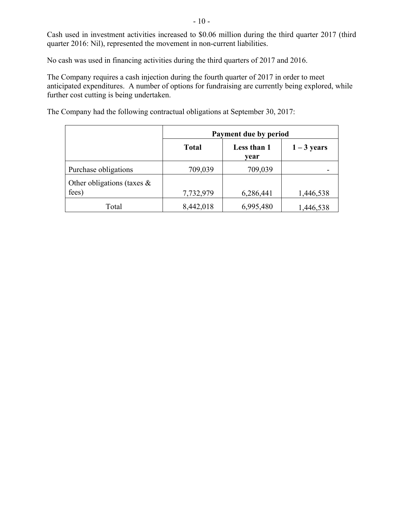Cash used in investment activities increased to \$0.06 million during the third quarter 2017 (third quarter 2016: Nil), represented the movement in non-current liabilities.

No cash was used in financing activities during the third quarters of 2017 and 2016.

The Company requires a cash injection during the fourth quarter of 2017 in order to meet anticipated expenditures. A number of options for fundraising are currently being explored, while further cost cutting is being undertaken.

The Company had the following contractual obligations at September 30, 2017:

|                                        | Payment due by period |                     |               |  |  |
|----------------------------------------|-----------------------|---------------------|---------------|--|--|
|                                        | <b>Total</b>          | Less than 1<br>vear | $1 - 3$ years |  |  |
| Purchase obligations                   | 709,039               | 709,039             |               |  |  |
| Other obligations (taxes $\&$<br>fees) | 7,732,979             | 6,286,441           | 1,446,538     |  |  |
| Total                                  | 8,442,018             | 6,995,480           | 1,446,538     |  |  |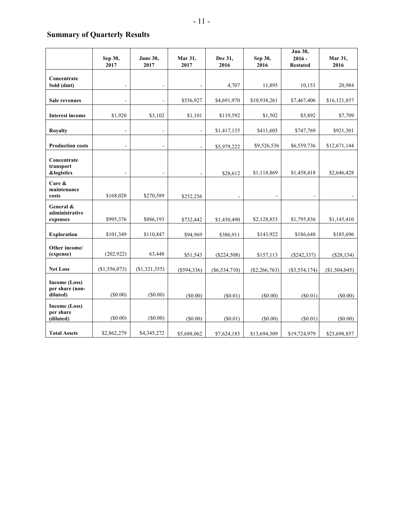# **Summary of Quarterly Results**

|                                                   | Sep 30,        | <b>June 30,</b>          | Mar 31,        | Dec 31,         | Sep 30,         | Jun 30,<br>$2016 -$ | Mar 31,       |
|---------------------------------------------------|----------------|--------------------------|----------------|-----------------|-----------------|---------------------|---------------|
|                                                   | 2017           | 2017                     | 2017           | 2016            | 2016            | <b>Restated</b>     | 2016          |
| Concentrate<br>Sold (dmt)                         |                |                          |                | 4,707           | 11,895          | 10,151              | 20,984        |
| <b>Sale revenues</b>                              |                |                          | \$536,927      | \$4,691,970     | \$10,938,261    | \$7,467,406         | \$16,121,857  |
| <b>Interest income</b>                            | \$1,920        | \$3,102                  | \$1,101        | \$119,592       | \$1,502         | \$5,892             | \$7,709       |
| <b>Royalty</b>                                    | $\blacksquare$ | $\blacksquare$           | $\blacksquare$ | \$1,417,135     | \$411,605       | \$747,769           | \$921,301     |
| <b>Production costs</b>                           | $\blacksquare$ | $\blacksquare$           |                | \$5,979,222     | \$9,526,536     | \$6,559,736         | \$12,671,144  |
| Concentrate<br>transport<br><b>&amp;logistics</b> | $\overline{a}$ | $\overline{\phantom{a}}$ | $\blacksquare$ | \$28,612        | \$1,118,869     | \$1,458,418         | \$2,646,428   |
| Care &<br>maintenance<br>costs                    | \$168,020      | \$270,589                | \$252,256      | $\overline{a}$  | $\blacksquare$  | $\overline{a}$      |               |
| General &<br>administrative<br>expenses           | \$995,376      | \$886,193                | \$732,442      | \$1,430,490     | \$2,128,853     | \$1,795,836         | \$1,145,410   |
| <b>Exploration</b>                                | \$101,349      | \$110,847                | \$94,969       | \$386,911       | \$143,922       | \$186,648           | \$185,696     |
| Other income/<br>(expense)                        | (202, 922)     | 63,448                   | \$51,543       | $(\$224,508)$   | \$157,113       | (\$242,337)         | (\$28,134)    |
| <b>Net Loss</b>                                   | (\$1,556,073)  | (\$1,321,355)            | $(\$594,336)$  | $(\$6,534,710)$ | $(\$2,266,763)$ | $(\$3,554,174)$     | (\$1,504,045) |
| Income (Loss)<br>per share (non-<br>diluted)      | (S0.00)        | (S0.00)                  | (S0.00)        | (S0.01)         | (S0.00)         | (S0.01)             | (S0.00)       |
| <b>Income (Loss)</b><br>per share<br>(diluted)    | (\$0.00)       | (\$0.00)                 | $(\$0.00)$     | (\$0.01)        | $(\$0.00)$      | (\$0.01)            | (\$0.00)      |
| <b>Total Assets</b>                               | \$2,862,279    | \$4,345,272              | \$5,688,062    | \$7,624,185     | \$13,694,309    | \$19,724,979        | \$23,698,857  |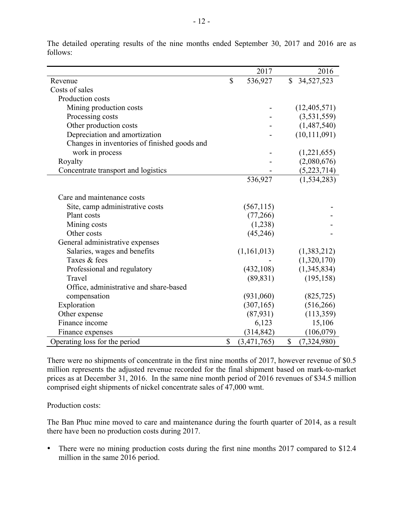|                                              | 2017              |             | 2016           |
|----------------------------------------------|-------------------|-------------|----------------|
| Revenue                                      | \$<br>536,927     | $\mathbf S$ | 34,527,523     |
| Costs of sales                               |                   |             |                |
| Production costs                             |                   |             |                |
| Mining production costs                      |                   |             | (12, 405, 571) |
| Processing costs                             |                   |             | (3, 531, 559)  |
| Other production costs                       |                   |             | (1,487,540)    |
| Depreciation and amortization                |                   |             | (10, 111, 091) |
| Changes in inventories of finished goods and |                   |             |                |
| work in process                              |                   |             | (1,221,655)    |
| Royalty                                      |                   |             | (2,080,676)    |
| Concentrate transport and logistics          |                   |             | (5,223,714)    |
|                                              | 536,927           |             | (1, 534, 283)  |
|                                              |                   |             |                |
| Care and maintenance costs                   |                   |             |                |
| Site, camp administrative costs              | (567, 115)        |             |                |
| Plant costs                                  | (77,266)          |             |                |
| Mining costs                                 | (1,238)           |             |                |
| Other costs                                  | (45,246)          |             |                |
| General administrative expenses              |                   |             |                |
| Salaries, wages and benefits                 | (1,161,013)       |             | (1,383,212)    |
| Taxes & fees                                 |                   |             | (1,320,170)    |
| Professional and regulatory                  | (432, 108)        |             | (1,345,834)    |
| Travel                                       | (89, 831)         |             | (195, 158)     |
| Office, administrative and share-based       |                   |             |                |
| compensation                                 | (931,060)         |             | (825, 725)     |
| Exploration                                  | (307, 165)        |             | (516, 266)     |
| Other expense                                | (87, 931)         |             | (113,359)      |
| Finance income                               | 6,123             |             | 15,106         |
| Finance expenses                             | (314, 842)        |             | (106,079)      |
| Operating loss for the period                | \$<br>(3,471,765) | \$          | (7,324,980)    |

The detailed operating results of the nine months ended September 30, 2017 and 2016 are as follows:

There were no shipments of concentrate in the first nine months of 2017, however revenue of \$0.5 million represents the adjusted revenue recorded for the final shipment based on mark-to-market prices as at December 31, 2016. In the same nine month period of 2016 revenues of \$34.5 million comprised eight shipments of nickel concentrate sales of 47,000 wmt.

Production costs:

The Ban Phuc mine moved to care and maintenance during the fourth quarter of 2014, as a result there have been no production costs during 2017.

• There were no mining production costs during the first nine months 2017 compared to \$12.4 million in the same 2016 period.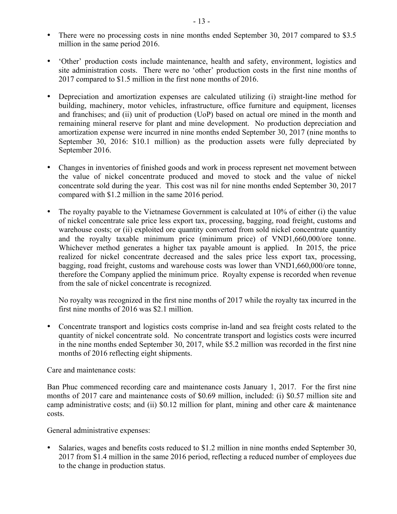- There were no processing costs in nine months ended September 30, 2017 compared to \$3.5 million in the same period 2016.
- 'Other' production costs include maintenance, health and safety, environment, logistics and site administration costs. There were no 'other' production costs in the first nine months of 2017 compared to \$1.5 million in the first none months of 2016.
- Depreciation and amortization expenses are calculated utilizing (i) straight-line method for building, machinery, motor vehicles, infrastructure, office furniture and equipment, licenses and franchises; and (ii) unit of production (UoP) based on actual ore mined in the month and remaining mineral reserve for plant and mine development. No production depreciation and amortization expense were incurred in nine months ended September 30, 2017 (nine months to September 30, 2016: \$10.1 million) as the production assets were fully depreciated by September 2016.
- Changes in inventories of finished goods and work in process represent net movement between the value of nickel concentrate produced and moved to stock and the value of nickel concentrate sold during the year. This cost was nil for nine months ended September 30, 2017 compared with \$1.2 million in the same 2016 period.
- The royalty payable to the Vietnamese Government is calculated at 10% of either (i) the value of nickel concentrate sale price less export tax, processing, bagging, road freight, customs and warehouse costs; or (ii) exploited ore quantity converted from sold nickel concentrate quantity and the royalty taxable minimum price (minimum price) of VND1,660,000/ore tonne. Whichever method generates a higher tax payable amount is applied. In 2015, the price realized for nickel concentrate decreased and the sales price less export tax, processing, bagging, road freight, customs and warehouse costs was lower than VND1,660,000/ore tonne, therefore the Company applied the minimum price. Royalty expense is recorded when revenue from the sale of nickel concentrate is recognized.

No royalty was recognized in the first nine months of 2017 while the royalty tax incurred in the first nine months of 2016 was \$2.1 million.

• Concentrate transport and logistics costs comprise in-land and sea freight costs related to the quantity of nickel concentrate sold. No concentrate transport and logistics costs were incurred in the nine months ended September 30, 2017, while \$5.2 million was recorded in the first nine months of 2016 reflecting eight shipments.

Care and maintenance costs:

Ban Phuc commenced recording care and maintenance costs January 1, 2017. For the first nine months of 2017 care and maintenance costs of \$0.69 million, included: (i) \$0.57 million site and camp administrative costs; and (ii) \$0.12 million for plant, mining and other care & maintenance costs.

General administrative expenses:

• Salaries, wages and benefits costs reduced to \$1.2 million in nine months ended September 30, 2017 from \$1.4 million in the same 2016 period, reflecting a reduced number of employees due to the change in production status.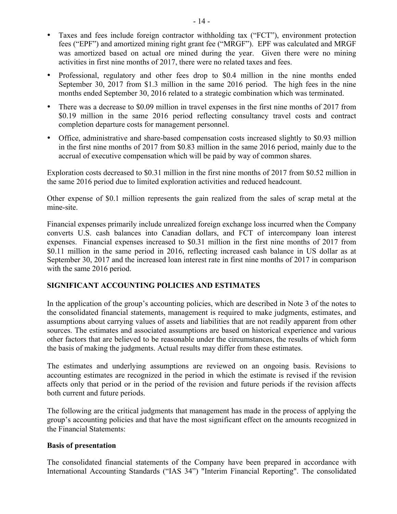- Taxes and fees include foreign contractor withholding tax ("FCT"), environment protection fees ("EPF") and amortized mining right grant fee ("MRGF"). EPF was calculated and MRGF was amortized based on actual ore mined during the year. Given there were no mining activities in first nine months of 2017, there were no related taxes and fees.
- Professional, regulatory and other fees drop to \$0.4 million in the nine months ended September 30, 2017 from \$1.3 million in the same 2016 period. The high fees in the nine months ended September 30, 2016 related to a strategic combination which was terminated.
- There was a decrease to \$0.09 million in travel expenses in the first nine months of 2017 from \$0.19 million in the same 2016 period reflecting consultancy travel costs and contract completion departure costs for management personnel.
- Office, administrative and share-based compensation costs increased slightly to \$0.93 million in the first nine months of 2017 from \$0.83 million in the same 2016 period, mainly due to the accrual of executive compensation which will be paid by way of common shares.

Exploration costs decreased to \$0.31 million in the first nine months of 2017 from \$0.52 million in the same 2016 period due to limited exploration activities and reduced headcount.

Other expense of \$0.1 million represents the gain realized from the sales of scrap metal at the mine-site.

Financial expenses primarily include unrealized foreign exchange loss incurred when the Company converts U.S. cash balances into Canadian dollars, and FCT of intercompany loan interest expenses. Financial expenses increased to \$0.31 million in the first nine months of 2017 from \$0.11 million in the same period in 2016, reflecting increased cash balance in US dollar as at September 30, 2017 and the increased loan interest rate in first nine months of 2017 in comparison with the same 2016 period.

## **SIGNIFICANT ACCOUNTING POLICIES AND ESTIMATES**

In the application of the group's accounting policies, which are described in Note 3 of the notes to the consolidated financial statements, management is required to make judgments, estimates, and assumptions about carrying values of assets and liabilities that are not readily apparent from other sources. The estimates and associated assumptions are based on historical experience and various other factors that are believed to be reasonable under the circumstances, the results of which form the basis of making the judgments. Actual results may differ from these estimates.

The estimates and underlying assumptions are reviewed on an ongoing basis. Revisions to accounting estimates are recognized in the period in which the estimate is revised if the revision affects only that period or in the period of the revision and future periods if the revision affects both current and future periods.

The following are the critical judgments that management has made in the process of applying the group's accounting policies and that have the most significant effect on the amounts recognized in the Financial Statements:

## **Basis of presentation**

The consolidated financial statements of the Company have been prepared in accordance with International Accounting Standards ("IAS 34") "Interim Financial Reporting". The consolidated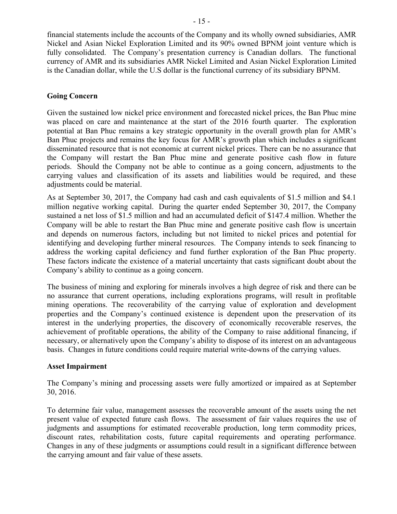financial statements include the accounts of the Company and its wholly owned subsidiaries, AMR Nickel and Asian Nickel Exploration Limited and its 90% owned BPNM joint venture which is fully consolidated. The Company's presentation currency is Canadian dollars. The functional currency of AMR and its subsidiaries AMR Nickel Limited and Asian Nickel Exploration Limited is the Canadian dollar, while the U.S dollar is the functional currency of its subsidiary BPNM.

## **Going Concern**

Given the sustained low nickel price environment and forecasted nickel prices, the Ban Phuc mine was placed on care and maintenance at the start of the 2016 fourth quarter. The exploration potential at Ban Phuc remains a key strategic opportunity in the overall growth plan for AMR's Ban Phuc projects and remains the key focus for AMR's growth plan which includes a significant disseminated resource that is not economic at current nickel prices. There can be no assurance that the Company will restart the Ban Phuc mine and generate positive cash flow in future periods. Should the Company not be able to continue as a going concern, adjustments to the carrying values and classification of its assets and liabilities would be required, and these adjustments could be material.

As at September 30, 2017, the Company had cash and cash equivalents of \$1.5 million and \$4.1 million negative working capital. During the quarter ended September 30, 2017, the Company sustained a net loss of \$1.5 million and had an accumulated deficit of \$147.4 million. Whether the Company will be able to restart the Ban Phuc mine and generate positive cash flow is uncertain and depends on numerous factors, including but not limited to nickel prices and potential for identifying and developing further mineral resources. The Company intends to seek financing to address the working capital deficiency and fund further exploration of the Ban Phuc property. These factors indicate the existence of a material uncertainty that casts significant doubt about the Company's ability to continue as a going concern.

The business of mining and exploring for minerals involves a high degree of risk and there can be no assurance that current operations, including explorations programs, will result in profitable mining operations. The recoverability of the carrying value of exploration and development properties and the Company's continued existence is dependent upon the preservation of its interest in the underlying properties, the discovery of economically recoverable reserves, the achievement of profitable operations, the ability of the Company to raise additional financing, if necessary, or alternatively upon the Company's ability to dispose of its interest on an advantageous basis. Changes in future conditions could require material write-downs of the carrying values.

## **Asset Impairment**

The Company's mining and processing assets were fully amortized or impaired as at September 30, 2016.

To determine fair value, management assesses the recoverable amount of the assets using the net present value of expected future cash flows. The assessment of fair values requires the use of judgments and assumptions for estimated recoverable production, long term commodity prices, discount rates, rehabilitation costs, future capital requirements and operating performance. Changes in any of these judgments or assumptions could result in a significant difference between the carrying amount and fair value of these assets.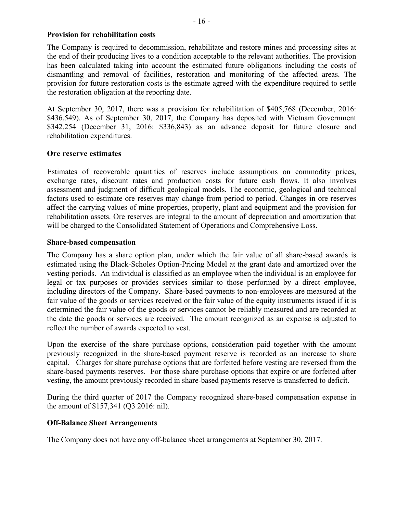## **Provision for rehabilitation costs**

The Company is required to decommission, rehabilitate and restore mines and processing sites at the end of their producing lives to a condition acceptable to the relevant authorities. The provision has been calculated taking into account the estimated future obligations including the costs of dismantling and removal of facilities, restoration and monitoring of the affected areas. The provision for future restoration costs is the estimate agreed with the expenditure required to settle the restoration obligation at the reporting date.

At September 30, 2017, there was a provision for rehabilitation of \$405,768 (December, 2016: \$436,549). As of September 30, 2017, the Company has deposited with Vietnam Government \$342,254 (December 31, 2016: \$336,843) as an advance deposit for future closure and rehabilitation expenditures.

## **Ore reserve estimates**

Estimates of recoverable quantities of reserves include assumptions on commodity prices, exchange rates, discount rates and production costs for future cash flows. It also involves assessment and judgment of difficult geological models. The economic, geological and technical factors used to estimate ore reserves may change from period to period. Changes in ore reserves affect the carrying values of mine properties, property, plant and equipment and the provision for rehabilitation assets. Ore reserves are integral to the amount of depreciation and amortization that will be charged to the Consolidated Statement of Operations and Comprehensive Loss.

## **Share-based compensation**

The Company has a share option plan, under which the fair value of all share-based awards is estimated using the Black-Scholes Option-Pricing Model at the grant date and amortized over the vesting periods. An individual is classified as an employee when the individual is an employee for legal or tax purposes or provides services similar to those performed by a direct employee, including directors of the Company. Share-based payments to non-employees are measured at the fair value of the goods or services received or the fair value of the equity instruments issued if it is determined the fair value of the goods or services cannot be reliably measured and are recorded at the date the goods or services are received. The amount recognized as an expense is adjusted to reflect the number of awards expected to vest.

Upon the exercise of the share purchase options, consideration paid together with the amount previously recognized in the share-based payment reserve is recorded as an increase to share capital. Charges for share purchase options that are forfeited before vesting are reversed from the share-based payments reserves. For those share purchase options that expire or are forfeited after vesting, the amount previously recorded in share-based payments reserve is transferred to deficit.

During the third quarter of 2017 the Company recognized share-based compensation expense in the amount of \$157,341 (Q3 2016: nil).

## **Off-Balance Sheet Arrangements**

The Company does not have any off-balance sheet arrangements at September 30, 2017.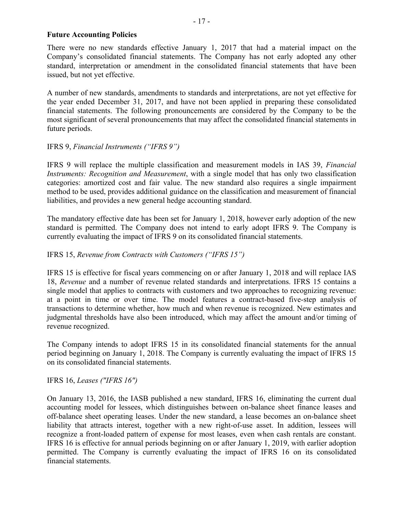## **Future Accounting Policies**

There were no new standards effective January 1, 2017 that had a material impact on the Company's consolidated financial statements. The Company has not early adopted any other standard, interpretation or amendment in the consolidated financial statements that have been issued, but not yet effective.

A number of new standards, amendments to standards and interpretations, are not yet effective for the year ended December 31, 2017, and have not been applied in preparing these consolidated financial statements. The following pronouncements are considered by the Company to be the most significant of several pronouncements that may affect the consolidated financial statements in future periods.

## IFRS 9, *Financial Instruments ("IFRS 9")*

IFRS 9 will replace the multiple classification and measurement models in IAS 39, *Financial Instruments: Recognition and Measurement*, with a single model that has only two classification categories: amortized cost and fair value. The new standard also requires a single impairment method to be used, provides additional guidance on the classification and measurement of financial liabilities, and provides a new general hedge accounting standard.

The mandatory effective date has been set for January 1, 2018, however early adoption of the new standard is permitted. The Company does not intend to early adopt IFRS 9. The Company is currently evaluating the impact of IFRS 9 on its consolidated financial statements.

## IFRS 15, *Revenue from Contracts with Customers ("IFRS 15")*

IFRS 15 is effective for fiscal years commencing on or after January 1, 2018 and will replace IAS 18, *Revenue* and a number of revenue related standards and interpretations. IFRS 15 contains a single model that applies to contracts with customers and two approaches to recognizing revenue: at a point in time or over time. The model features a contract-based five-step analysis of transactions to determine whether, how much and when revenue is recognized. New estimates and judgmental thresholds have also been introduced, which may affect the amount and/or timing of revenue recognized.

The Company intends to adopt IFRS 15 in its consolidated financial statements for the annual period beginning on January 1, 2018. The Company is currently evaluating the impact of IFRS 15 on its consolidated financial statements.

## IFRS 16, *Leases ("IFRS 16")*

On January 13, 2016, the IASB published a new standard, IFRS 16, eliminating the current dual accounting model for lessees, which distinguishes between on-balance sheet finance leases and off-balance sheet operating leases. Under the new standard, a lease becomes an on-balance sheet liability that attracts interest, together with a new right-of-use asset. In addition, lessees will recognize a front-loaded pattern of expense for most leases, even when cash rentals are constant. IFRS 16 is effective for annual periods beginning on or after January 1, 2019, with earlier adoption permitted. The Company is currently evaluating the impact of IFRS 16 on its consolidated financial statements.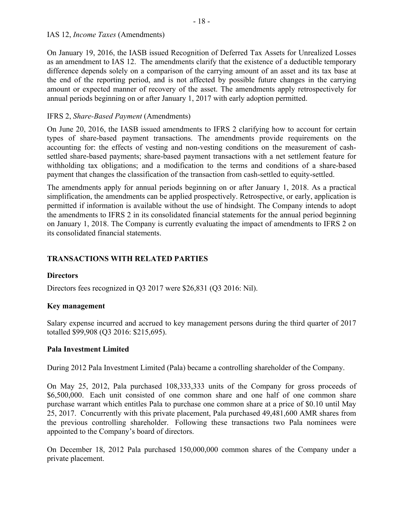On January 19, 2016, the IASB issued Recognition of Deferred Tax Assets for Unrealized Losses as an amendment to IAS 12. The amendments clarify that the existence of a deductible temporary difference depends solely on a comparison of the carrying amount of an asset and its tax base at the end of the reporting period, and is not affected by possible future changes in the carrying amount or expected manner of recovery of the asset. The amendments apply retrospectively for annual periods beginning on or after January 1, 2017 with early adoption permitted.

## IFRS 2, *Share-Based Payment* (Amendments)

On June 20, 2016, the IASB issued amendments to IFRS 2 clarifying how to account for certain types of share-based payment transactions. The amendments provide requirements on the accounting for: the effects of vesting and non-vesting conditions on the measurement of cashsettled share-based payments; share-based payment transactions with a net settlement feature for withholding tax obligations; and a modification to the terms and conditions of a share-based payment that changes the classification of the transaction from cash-settled to equity-settled.

The amendments apply for annual periods beginning on or after January 1, 2018. As a practical simplification, the amendments can be applied prospectively. Retrospective, or early, application is permitted if information is available without the use of hindsight. The Company intends to adopt the amendments to IFRS 2 in its consolidated financial statements for the annual period beginning on January 1, 2018. The Company is currently evaluating the impact of amendments to IFRS 2 on its consolidated financial statements.

## **TRANSACTIONS WITH RELATED PARTIES**

## **Directors**

Directors fees recognized in Q3 2017 were \$26,831 (Q3 2016: Nil).

## **Key management**

Salary expense incurred and accrued to key management persons during the third quarter of 2017 totalled \$99,908 (Q3 2016: \$215,695).

## **Pala Investment Limited**

During 2012 Pala Investment Limited (Pala) became a controlling shareholder of the Company.

On May 25, 2012, Pala purchased 108,333,333 units of the Company for gross proceeds of \$6,500,000. Each unit consisted of one common share and one half of one common share purchase warrant which entitles Pala to purchase one common share at a price of \$0.10 until May 25, 2017. Concurrently with this private placement, Pala purchased 49,481,600 AMR shares from the previous controlling shareholder. Following these transactions two Pala nominees were appointed to the Company's board of directors.

On December 18, 2012 Pala purchased 150,000,000 common shares of the Company under a private placement.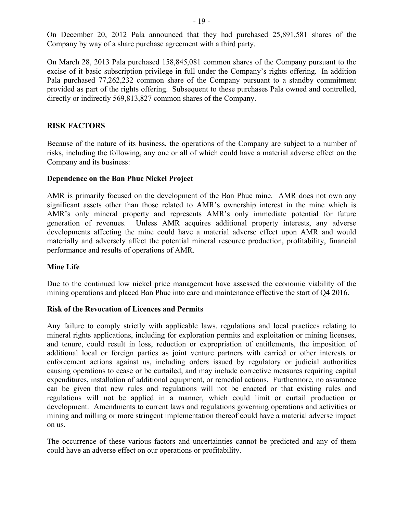On December 20, 2012 Pala announced that they had purchased 25,891,581 shares of the Company by way of a share purchase agreement with a third party.

On March 28, 2013 Pala purchased 158,845,081 common shares of the Company pursuant to the excise of it basic subscription privilege in full under the Company's rights offering. In addition Pala purchased 77,262,232 common share of the Company pursuant to a standby commitment provided as part of the rights offering. Subsequent to these purchases Pala owned and controlled, directly or indirectly 569,813,827 common shares of the Company.

## **RISK FACTORS**

Because of the nature of its business, the operations of the Company are subject to a number of risks, including the following, any one or all of which could have a material adverse effect on the Company and its business:

## **Dependence on the Ban Phuc Nickel Project**

AMR is primarily focused on the development of the Ban Phuc mine. AMR does not own any significant assets other than those related to AMR's ownership interest in the mine which is AMR's only mineral property and represents AMR's only immediate potential for future generation of revenues. Unless AMR acquires additional property interests, any adverse developments affecting the mine could have a material adverse effect upon AMR and would materially and adversely affect the potential mineral resource production, profitability, financial performance and results of operations of AMR.

## **Mine Life**

Due to the continued low nickel price management have assessed the economic viability of the mining operations and placed Ban Phuc into care and maintenance effective the start of Q4 2016.

## **Risk of the Revocation of Licences and Permits**

Any failure to comply strictly with applicable laws, regulations and local practices relating to mineral rights applications, including for exploration permits and exploitation or mining licenses, and tenure, could result in loss, reduction or expropriation of entitlements, the imposition of additional local or foreign parties as joint venture partners with carried or other interests or enforcement actions against us, including orders issued by regulatory or judicial authorities causing operations to cease or be curtailed, and may include corrective measures requiring capital expenditures, installation of additional equipment, or remedial actions. Furthermore, no assurance can be given that new rules and regulations will not be enacted or that existing rules and regulations will not be applied in a manner, which could limit or curtail production or development. Amendments to current laws and regulations governing operations and activities or mining and milling or more stringent implementation thereof could have a material adverse impact on us.

The occurrence of these various factors and uncertainties cannot be predicted and any of them could have an adverse effect on our operations or profitability.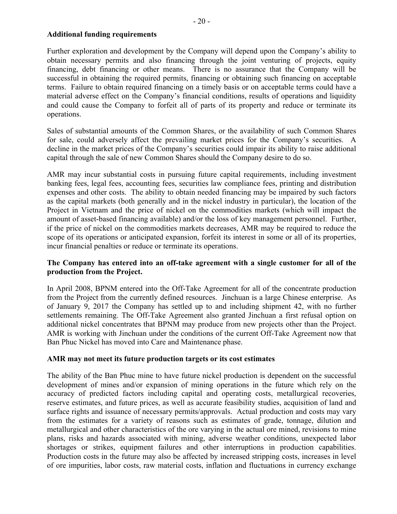## **Additional funding requirements**

Further exploration and development by the Company will depend upon the Company's ability to obtain necessary permits and also financing through the joint venturing of projects, equity financing, debt financing or other means. There is no assurance that the Company will be successful in obtaining the required permits, financing or obtaining such financing on acceptable terms. Failure to obtain required financing on a timely basis or on acceptable terms could have a material adverse effect on the Company's financial conditions, results of operations and liquidity and could cause the Company to forfeit all of parts of its property and reduce or terminate its operations.

Sales of substantial amounts of the Common Shares, or the availability of such Common Shares for sale, could adversely affect the prevailing market prices for the Company's securities. A decline in the market prices of the Company's securities could impair its ability to raise additional capital through the sale of new Common Shares should the Company desire to do so.

AMR may incur substantial costs in pursuing future capital requirements, including investment banking fees, legal fees, accounting fees, securities law compliance fees, printing and distribution expenses and other costs. The ability to obtain needed financing may be impaired by such factors as the capital markets (both generally and in the nickel industry in particular), the location of the Project in Vietnam and the price of nickel on the commodities markets (which will impact the amount of asset-based financing available) and/or the loss of key management personnel. Further, if the price of nickel on the commodities markets decreases, AMR may be required to reduce the scope of its operations or anticipated expansion, forfeit its interest in some or all of its properties, incur financial penalties or reduce or terminate its operations.

## **The Company has entered into an off-take agreement with a single customer for all of the production from the Project.**

In April 2008, BPNM entered into the Off-Take Agreement for all of the concentrate production from the Project from the currently defined resources. Jinchuan is a large Chinese enterprise. As of January 9, 2017 the Company has settled up to and including shipment 42, with no further settlements remaining. The Off-Take Agreement also granted Jinchuan a first refusal option on additional nickel concentrates that BPNM may produce from new projects other than the Project. AMR is working with Jinchuan under the conditions of the current Off-Take Agreement now that Ban Phuc Nickel has moved into Care and Maintenance phase.

## **AMR may not meet its future production targets or its cost estimates**

The ability of the Ban Phuc mine to have future nickel production is dependent on the successful development of mines and/or expansion of mining operations in the future which rely on the accuracy of predicted factors including capital and operating costs, metallurgical recoveries, reserve estimates, and future prices, as well as accurate feasibility studies, acquisition of land and surface rights and issuance of necessary permits/approvals. Actual production and costs may vary from the estimates for a variety of reasons such as estimates of grade, tonnage, dilution and metallurgical and other characteristics of the ore varying in the actual ore mined, revisions to mine plans, risks and hazards associated with mining, adverse weather conditions, unexpected labor shortages or strikes, equipment failures and other interruptions in production capabilities. Production costs in the future may also be affected by increased stripping costs, increases in level of ore impurities, labor costs, raw material costs, inflation and fluctuations in currency exchange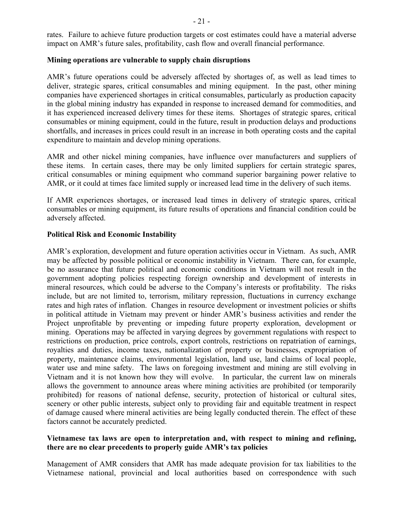## **Mining operations are vulnerable to supply chain disruptions**

AMR's future operations could be adversely affected by shortages of, as well as lead times to deliver, strategic spares, critical consumables and mining equipment. In the past, other mining companies have experienced shortages in critical consumables, particularly as production capacity in the global mining industry has expanded in response to increased demand for commodities, and it has experienced increased delivery times for these items. Shortages of strategic spares, critical consumables or mining equipment, could in the future, result in production delays and productions shortfalls, and increases in prices could result in an increase in both operating costs and the capital expenditure to maintain and develop mining operations.

AMR and other nickel mining companies, have influence over manufacturers and suppliers of these items. In certain cases, there may be only limited suppliers for certain strategic spares, critical consumables or mining equipment who command superior bargaining power relative to AMR, or it could at times face limited supply or increased lead time in the delivery of such items.

If AMR experiences shortages, or increased lead times in delivery of strategic spares, critical consumables or mining equipment, its future results of operations and financial condition could be adversely affected.

## **Political Risk and Economic Instability**

AMR's exploration, development and future operation activities occur in Vietnam. As such, AMR may be affected by possible political or economic instability in Vietnam. There can, for example, be no assurance that future political and economic conditions in Vietnam will not result in the government adopting policies respecting foreign ownership and development of interests in mineral resources, which could be adverse to the Company's interests or profitability. The risks include, but are not limited to, terrorism, military repression, fluctuations in currency exchange rates and high rates of inflation. Changes in resource development or investment policies or shifts in political attitude in Vietnam may prevent or hinder AMR's business activities and render the Project unprofitable by preventing or impeding future property exploration, development or mining. Operations may be affected in varying degrees by government regulations with respect to restrictions on production, price controls, export controls, restrictions on repatriation of earnings, royalties and duties, income taxes, nationalization of property or businesses, expropriation of property, maintenance claims, environmental legislation, land use, land claims of local people, water use and mine safety. The laws on foregoing investment and mining are still evolving in Vietnam and it is not known how they will evolve. In particular, the current law on minerals allows the government to announce areas where mining activities are prohibited (or temporarily prohibited) for reasons of national defense, security, protection of historical or cultural sites, scenery or other public interests, subject only to providing fair and equitable treatment in respect of damage caused where mineral activities are being legally conducted therein. The effect of these factors cannot be accurately predicted.

## **Vietnamese tax laws are open to interpretation and, with respect to mining and refining, there are no clear precedents to properly guide AMR's tax policies**

Management of AMR considers that AMR has made adequate provision for tax liabilities to the Vietnamese national, provincial and local authorities based on correspondence with such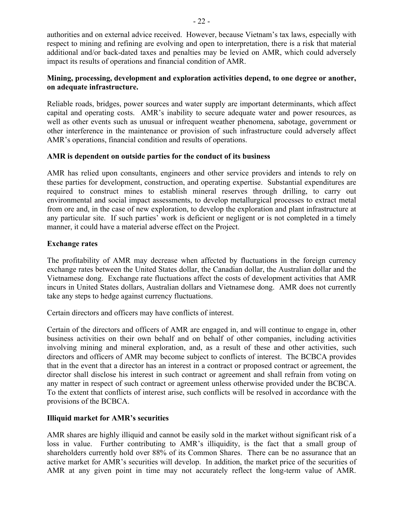authorities and on external advice received. However, because Vietnam's tax laws, especially with respect to mining and refining are evolving and open to interpretation, there is a risk that material additional and/or back-dated taxes and penalties may be levied on AMR, which could adversely impact its results of operations and financial condition of AMR.

## **Mining, processing, development and exploration activities depend, to one degree or another, on adequate infrastructure.**

Reliable roads, bridges, power sources and water supply are important determinants, which affect capital and operating costs. AMR's inability to secure adequate water and power resources, as well as other events such as unusual or infrequent weather phenomena, sabotage, government or other interference in the maintenance or provision of such infrastructure could adversely affect AMR's operations, financial condition and results of operations.

## **AMR is dependent on outside parties for the conduct of its business**

AMR has relied upon consultants, engineers and other service providers and intends to rely on these parties for development, construction, and operating expertise. Substantial expenditures are required to construct mines to establish mineral reserves through drilling, to carry out environmental and social impact assessments, to develop metallurgical processes to extract metal from ore and, in the case of new exploration, to develop the exploration and plant infrastructure at any particular site. If such parties' work is deficient or negligent or is not completed in a timely manner, it could have a material adverse effect on the Project.

## **Exchange rates**

The profitability of AMR may decrease when affected by fluctuations in the foreign currency exchange rates between the United States dollar, the Canadian dollar, the Australian dollar and the Vietnamese dong. Exchange rate fluctuations affect the costs of development activities that AMR incurs in United States dollars, Australian dollars and Vietnamese dong. AMR does not currently take any steps to hedge against currency fluctuations.

Certain directors and officers may have conflicts of interest.

Certain of the directors and officers of AMR are engaged in, and will continue to engage in, other business activities on their own behalf and on behalf of other companies, including activities involving mining and mineral exploration, and, as a result of these and other activities, such directors and officers of AMR may become subject to conflicts of interest. The BCBCA provides that in the event that a director has an interest in a contract or proposed contract or agreement, the director shall disclose his interest in such contract or agreement and shall refrain from voting on any matter in respect of such contract or agreement unless otherwise provided under the BCBCA. To the extent that conflicts of interest arise, such conflicts will be resolved in accordance with the provisions of the BCBCA.

## **Illiquid market for AMR's securities**

AMR shares are highly illiquid and cannot be easily sold in the market without significant risk of a loss in value. Further contributing to AMR's illiquidity, is the fact that a small group of shareholders currently hold over 88% of its Common Shares. There can be no assurance that an active market for AMR's securities will develop. In addition, the market price of the securities of AMR at any given point in time may not accurately reflect the long-term value of AMR.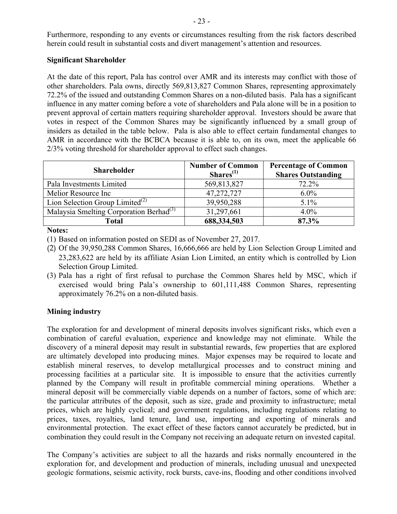## **Significant Shareholder**

At the date of this report, Pala has control over AMR and its interests may conflict with those of other shareholders. Pala owns, directly 569,813,827 Common Shares, representing approximately 72.2% of the issued and outstanding Common Shares on a non-diluted basis. Pala has a significant influence in any matter coming before a vote of shareholders and Pala alone will be in a position to prevent approval of certain matters requiring shareholder approval. Investors should be aware that votes in respect of the Common Shares may be significantly influenced by a small group of insiders as detailed in the table below. Pala is also able to effect certain fundamental changes to AMR in accordance with the BCBCA because it is able to, on its own, meet the applicable 66 2/3% voting threshold for shareholder approval to effect such changes.

| <b>Shareholder</b>                                  | <b>Number of Common</b><br>Shares <sup>(1)</sup> | <b>Percentage of Common</b><br><b>Shares Outstanding</b> |
|-----------------------------------------------------|--------------------------------------------------|----------------------------------------------------------|
| Pala Investments Limited                            | 569,813,827                                      | 72.2%                                                    |
| Melior Resource Inc                                 | 47,272,727                                       | $6.0\%$                                                  |
| Lion Selection Group Limited <sup>(2)</sup>         | 39,950,288                                       | $5.1\%$                                                  |
| Malaysia Smelting Corporation Berhad <sup>(3)</sup> | 31,297,661                                       | $4.0\%$                                                  |
| Total                                               | 688,334,503                                      | 87.3%                                                    |

**Notes:**

(1) Based on information posted on SEDI as of November 27, 2017.

- (2) Of the 39,950,288 Common Shares, 16,666,666 are held by Lion Selection Group Limited and 23,283,622 are held by its affiliate Asian Lion Limited, an entity which is controlled by Lion Selection Group Limited.
- (3) Pala has a right of first refusal to purchase the Common Shares held by MSC, which if exercised would bring Pala's ownership to 601,111,488 Common Shares, representing approximately 76.2% on a non-diluted basis.

## **Mining industry**

The exploration for and development of mineral deposits involves significant risks, which even a combination of careful evaluation, experience and knowledge may not eliminate. While the discovery of a mineral deposit may result in substantial rewards, few properties that are explored are ultimately developed into producing mines. Major expenses may be required to locate and establish mineral reserves, to develop metallurgical processes and to construct mining and processing facilities at a particular site. It is impossible to ensure that the activities currently planned by the Company will result in profitable commercial mining operations. Whether a mineral deposit will be commercially viable depends on a number of factors, some of which are: the particular attributes of the deposit, such as size, grade and proximity to infrastructure; metal prices, which are highly cyclical; and government regulations, including regulations relating to prices, taxes, royalties, land tenure, land use, importing and exporting of minerals and environmental protection. The exact effect of these factors cannot accurately be predicted, but in combination they could result in the Company not receiving an adequate return on invested capital.

The Company's activities are subject to all the hazards and risks normally encountered in the exploration for, and development and production of minerals, including unusual and unexpected geologic formations, seismic activity, rock bursts, cave-ins, flooding and other conditions involved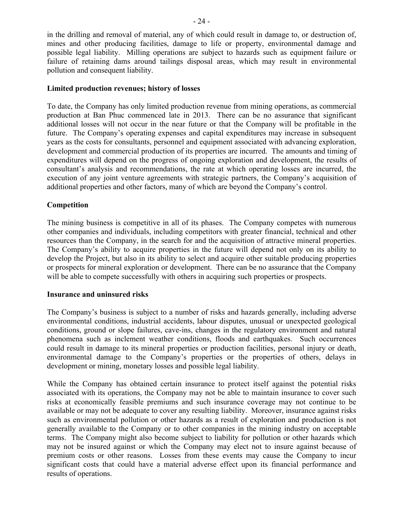in the drilling and removal of material, any of which could result in damage to, or destruction of, mines and other producing facilities, damage to life or property, environmental damage and possible legal liability. Milling operations are subject to hazards such as equipment failure or failure of retaining dams around tailings disposal areas, which may result in environmental pollution and consequent liability.

#### **Limited production revenues; history of losses**

To date, the Company has only limited production revenue from mining operations, as commercial production at Ban Phuc commenced late in 2013. There can be no assurance that significant additional losses will not occur in the near future or that the Company will be profitable in the future. The Company's operating expenses and capital expenditures may increase in subsequent years as the costs for consultants, personnel and equipment associated with advancing exploration, development and commercial production of its properties are incurred. The amounts and timing of expenditures will depend on the progress of ongoing exploration and development, the results of consultant's analysis and recommendations, the rate at which operating losses are incurred, the execution of any joint venture agreements with strategic partners, the Company's acquisition of additional properties and other factors, many of which are beyond the Company's control.

#### **Competition**

The mining business is competitive in all of its phases. The Company competes with numerous other companies and individuals, including competitors with greater financial, technical and other resources than the Company, in the search for and the acquisition of attractive mineral properties. The Company's ability to acquire properties in the future will depend not only on its ability to develop the Project, but also in its ability to select and acquire other suitable producing properties or prospects for mineral exploration or development. There can be no assurance that the Company will be able to compete successfully with others in acquiring such properties or prospects.

#### **Insurance and uninsured risks**

The Company's business is subject to a number of risks and hazards generally, including adverse environmental conditions, industrial accidents, labour disputes, unusual or unexpected geological conditions, ground or slope failures, cave-ins, changes in the regulatory environment and natural phenomena such as inclement weather conditions, floods and earthquakes. Such occurrences could result in damage to its mineral properties or production facilities, personal injury or death, environmental damage to the Company's properties or the properties of others, delays in development or mining, monetary losses and possible legal liability.

While the Company has obtained certain insurance to protect itself against the potential risks associated with its operations, the Company may not be able to maintain insurance to cover such risks at economically feasible premiums and such insurance coverage may not continue to be available or may not be adequate to cover any resulting liability. Moreover, insurance against risks such as environmental pollution or other hazards as a result of exploration and production is not generally available to the Company or to other companies in the mining industry on acceptable terms. The Company might also become subject to liability for pollution or other hazards which may not be insured against or which the Company may elect not to insure against because of premium costs or other reasons. Losses from these events may cause the Company to incur significant costs that could have a material adverse effect upon its financial performance and results of operations.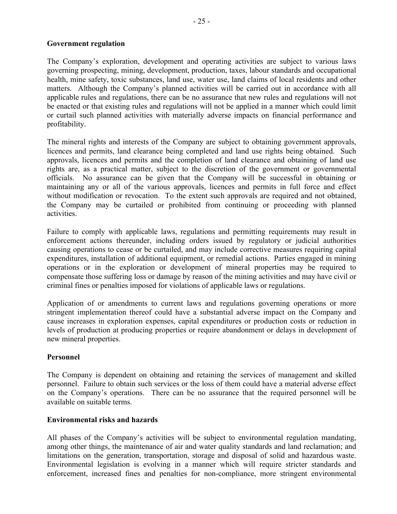## **Government regulation**

The Company's exploration, development and operating activities are subject to various laws governing prospecting, mining, development, production, taxes, labour standards and occupational health, mine safety, toxic substances, land use, water use, land claims of local residents and other matters. Although the Company's planned activities will be carried out in accordance with all applicable rules and regulations, there can be no assurance that new rules and regulations will not be enacted or that existing rules and regulations will not be applied in a manner which could limit or curtail such planned activities with materially adverse impacts on financial performance and profitability.

The mineral rights and interests of the Company are subject to obtaining government approvals, licences and permits, land clearance being completed and land use rights being obtained. Such approvals, licences and permits and the completion of land clearance and obtaining of land use rights are, as a practical matter, subject to the discretion of the government or governmental officials. No assurance can be given that the Company will be successful in obtaining or maintaining any or all of the various approvals, licences and permits in full force and effect without modification or revocation. To the extent such approvals are required and not obtained, the Company may be curtailed or prohibited from continuing or proceeding with planned activities.

Failure to comply with applicable laws, regulations and permitting requirements may result in enforcement actions thereunder, including orders issued by regulatory or judicial authorities causing operations to cease or be curtailed, and may include corrective measures requiring capital expenditures, installation of additional equipment, or remedial actions. Parties engaged in mining operations or in the exploration or development of mineral properties may be required to compensate those suffering loss or damage by reason of the mining activities and may have civil or criminal fines or penalties imposed for violations of applicable laws or regulations.

Application of or amendments to current laws and regulations governing operations or more stringent implementation thereof could have a substantial adverse impact on the Company and cause increases in exploration expenses, capital expenditures or production costs or reduction in levels of production at producing properties or require abandonment or delays in development of new mineral properties.

## **Personnel**

The Company is dependent on obtaining and retaining the services of management and skilled personnel. Failure to obtain such services or the loss of them could have a material adverse effect on the Company's operations. There can be no assurance that the required personnel will be available on suitable terms.

## **Environmental risks and hazards**

All phases of the Company's activities will be subject to environmental regulation mandating, among other things, the maintenance of air and water quality standards and land reclamation; and limitations on the generation, transportation, storage and disposal of solid and hazardous waste. Environmental legislation is evolving in a manner which will require stricter standards and enforcement, increased fines and penalties for non-compliance, more stringent environmental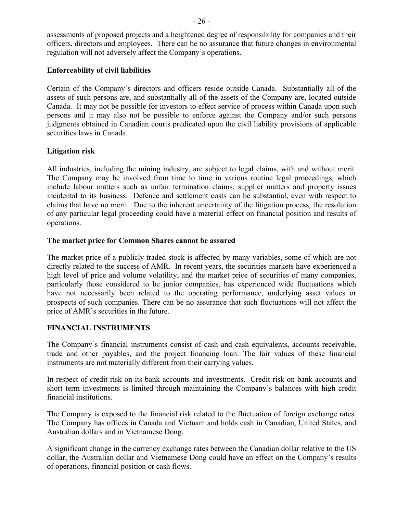assessments of proposed projects and a heightened degree of responsibility for companies and their officers, directors and employees. There can be no assurance that future changes in environmental regulation will not adversely affect the Company's operations.

## **Enforceability of civil liabilities**

Certain of the Company's directors and officers reside outside Canada. Substantially all of the assets of such persons are, and substantially all of the assets of the Company are, located outside Canada. It may not be possible for investors to effect service of process within Canada upon such persons and it may also not be possible to enforce against the Company and/or such persons judgments obtained in Canadian courts predicated upon the civil liability provisions of applicable securities laws in Canada.

## **Litigation risk**

All industries, including the mining industry, are subject to legal claims, with and without merit. The Company may be involved from time to time in various routine legal proceedings, which include labour matters such as unfair termination claims, supplier matters and property issues incidental to its business. Defence and settlement costs can be substantial, even with respect to claims that have no merit. Due to the inherent uncertainty of the litigation process, the resolution of any particular legal proceeding could have a material effect on financial position and results of operations.

## **The market price for Common Shares cannot be assured**

The market price of a publicly traded stock is affected by many variables, some of which are not directly related to the success of AMR. In recent years, the securities markets have experienced a high level of price and volume volatility, and the market price of securities of many companies, particularly those considered to be junior companies, has experienced wide fluctuations which have not necessarily been related to the operating performance, underlying asset values or prospects of such companies. There can be no assurance that such fluctuations will not affect the price of AMR's securities in the future.

## **FINANCIAL INSTRUMENTS**

The Company's financial instruments consist of cash and cash equivalents, accounts receivable, trade and other payables, and the project financing loan. The fair values of these financial instruments are not materially different from their carrying values.

In respect of credit risk on its bank accounts and investments. Credit risk on bank accounts and short term investments is limited through maintaining the Company's balances with high credit financial institutions.

The Company is exposed to the financial risk related to the fluctuation of foreign exchange rates. The Company has offices in Canada and Vietnam and holds cash in Canadian, United States, and Australian dollars and in Vietnamese Dong.

A significant change in the currency exchange rates between the Canadian dollar relative to the US dollar, the Australian dollar and Vietnamese Dong could have an effect on the Company's results of operations, financial position or cash flows.